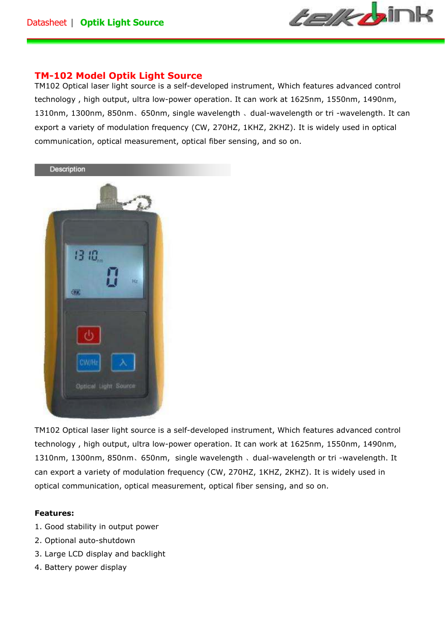

# **TM-102 Model Optik Light Source**

TM102 Optical laser light source is a self-developed instrument, Which features advanced control technology , high output, ultra low-power operation. It can work at 1625nm, 1550nm, 1490nm, 1310nm, 1300nm, 850nm、650nm, single wavelength 、dual-wavelength or tri -wavelength. It can export a variety of modulation frequency (CW, 270HZ, 1KHZ, 2KHZ). It is widely used in optical communication, optical measurement, optical fiber sensing, and so on.



TM102 Optical laser light source is a self-developed instrument, Which features advanced control technology , high output, ultra low-power operation. It can work at 1625nm, 1550nm, 1490nm, 1310nm, 1300nm, 850nm、650nm, single wavelength 、dual-wavelength or tri -wavelength. It can export a variety of modulation frequency (CW, 270HZ, 1KHZ, 2KHZ). It is widely used in optical communication, optical measurement, optical fiber sensing, and so on.

## **Features:**

- 1. Good stability in output power
- 2. Optional auto-shutdown
- 3. Large LCD display and backlight
- 4. Battery power display